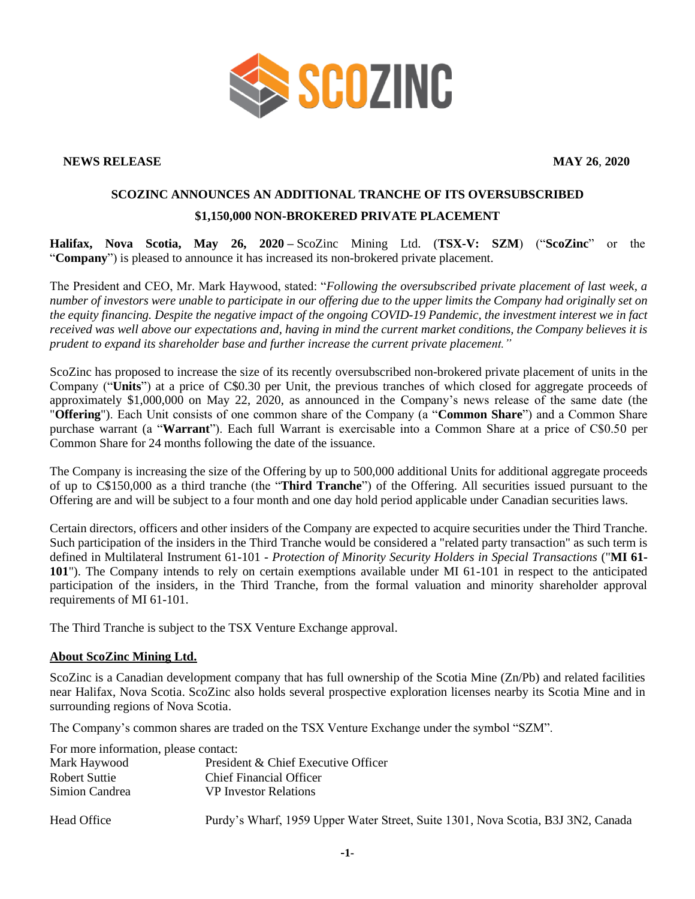

## **NEWS RELEASE MAY 26**, **2020**

## **SCOZINC ANNOUNCES AN ADDITIONAL TRANCHE OF ITS OVERSUBSCRIBED \$1,150,000 NON-BROKERED PRIVATE PLACEMENT**

**Halifax, Nova Scotia, May 26, 2020 –** ScoZinc Mining Ltd. (**TSX-V: SZM**) ("**ScoZinc**" or the "**Company**") is pleased to announce it has increased its non-brokered private placement.

The President and CEO, Mr. Mark Haywood, stated: "*Following the oversubscribed private placement of last week, a number of investors were unable to participate in our offering due to the upper limits the Company had originally set on the equity financing. Despite the negative impact of the ongoing COVID-19 Pandemic, the investment interest we in fact received was well above our expectations and, having in mind the current market conditions, the Company believes it is prudent to expand its shareholder base and further increase the current private placement."*

ScoZinc has proposed to increase the size of its recently oversubscribed non-brokered private placement of units in the Company ("**Units**") at a price of C\$0.30 per Unit, the previous tranches of which closed for aggregate proceeds of approximately \$1,000,000 on May 22, 2020, as announced in the Company's news release of the same date (the "**Offering**"). Each Unit consists of one common share of the Company (a "**Common Share**") and a Common Share purchase warrant (a "**Warrant**"). Each full Warrant is exercisable into a Common Share at a price of C\$0.50 per Common Share for 24 months following the date of the issuance.

The Company is increasing the size of the Offering by up to 500,000 additional Units for additional aggregate proceeds of up to C\$150,000 as a third tranche (the "**Third Tranche**") of the Offering. All securities issued pursuant to the Offering are and will be subject to a four month and one day hold period applicable under Canadian securities laws.

Certain directors, officers and other insiders of the Company are expected to acquire securities under the Third Tranche. Such participation of the insiders in the Third Tranche would be considered a "related party transaction" as such term is defined in Multilateral Instrument 61-101 - *Protection of Minority Security Holders in Special Transactions* ("**MI 61- 101**"). The Company intends to rely on certain exemptions available under MI 61-101 in respect to the anticipated participation of the insiders, in the Third Tranche, from the formal valuation and minority shareholder approval requirements of MI 61-101.

The Third Tranche is subject to the TSX Venture Exchange approval.

## **About ScoZinc Mining Ltd.**

ScoZinc is a Canadian development company that has full ownership of the Scotia Mine (Zn/Pb) and related facilities near Halifax, Nova Scotia. ScoZinc also holds several prospective exploration licenses nearby its Scotia Mine and in surrounding regions of Nova Scotia.

The Company's common shares are traded on the TSX Venture Exchange under the symbol "SZM".

For more information, please contact:

| Mark Haywood   | President & Chief Executive Officer                                              |
|----------------|----------------------------------------------------------------------------------|
| Robert Suttie  | Chief Financial Officer                                                          |
| Simion Candrea | <b>VP</b> Investor Relations                                                     |
| Head Office    | Purdy's Wharf, 1959 Upper Water Street, Suite 1301, Nova Scotia, B3J 3N2, Canada |